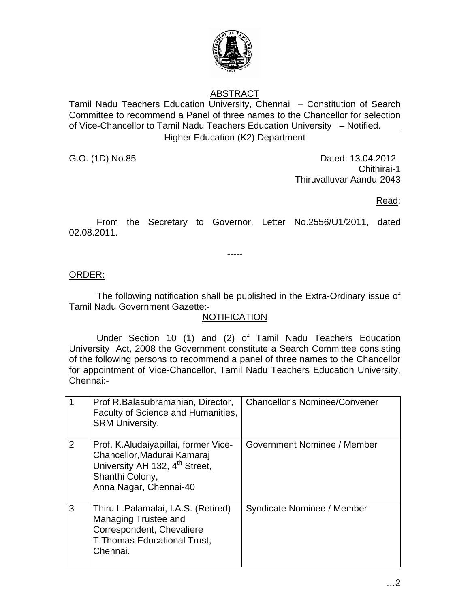

# ABSTRACT

Tamil Nadu Teachers Education University, Chennai – Constitution of Search Committee to recommend a Panel of three names to the Chancellor for selection of Vice-Chancellor to Tamil Nadu Teachers Education University – Notified. Higher Education (K2) Department

G.O. (1D) No.85 **Dated: 13.04.2012** Chithirai-1 Thiruvalluvar Aandu-2043

Read:

 From the Secretary to Governor, Letter No.2556/U1/2011, dated 02.08.2011.

-----

### ORDER:

 The following notification shall be published in the Extra-Ordinary issue of Tamil Nadu Government Gazette:-

#### **NOTIFICATION**

 Under Section 10 (1) and (2) of Tamil Nadu Teachers Education University Act, 2008 the Government constitute a Search Committee consisting of the following persons to recommend a panel of three names to the Chancellor for appointment of Vice-Chancellor, Tamil Nadu Teachers Education University, Chennai:-

|   | Prof R.Balasubramanian, Director,<br>Faculty of Science and Humanities,<br><b>SRM University.</b>                                                              | <b>Chancellor's Nominee/Convener</b> |
|---|----------------------------------------------------------------------------------------------------------------------------------------------------------------|--------------------------------------|
| 2 | Prof. K.Aludaiyapillai, former Vice-<br>Chancellor, Madurai Kamaraj<br>University AH 132, 4 <sup>th</sup> Street,<br>Shanthi Colony,<br>Anna Nagar, Chennai-40 | Government Nominee / Member          |
| 3 | Thiru L.Palamalai, I.A.S. (Retired)<br>Managing Trustee and<br>Correspondent, Chevaliere<br><b>T. Thomas Educational Trust,</b><br>Chennai.                    | Syndicate Nominee / Member           |